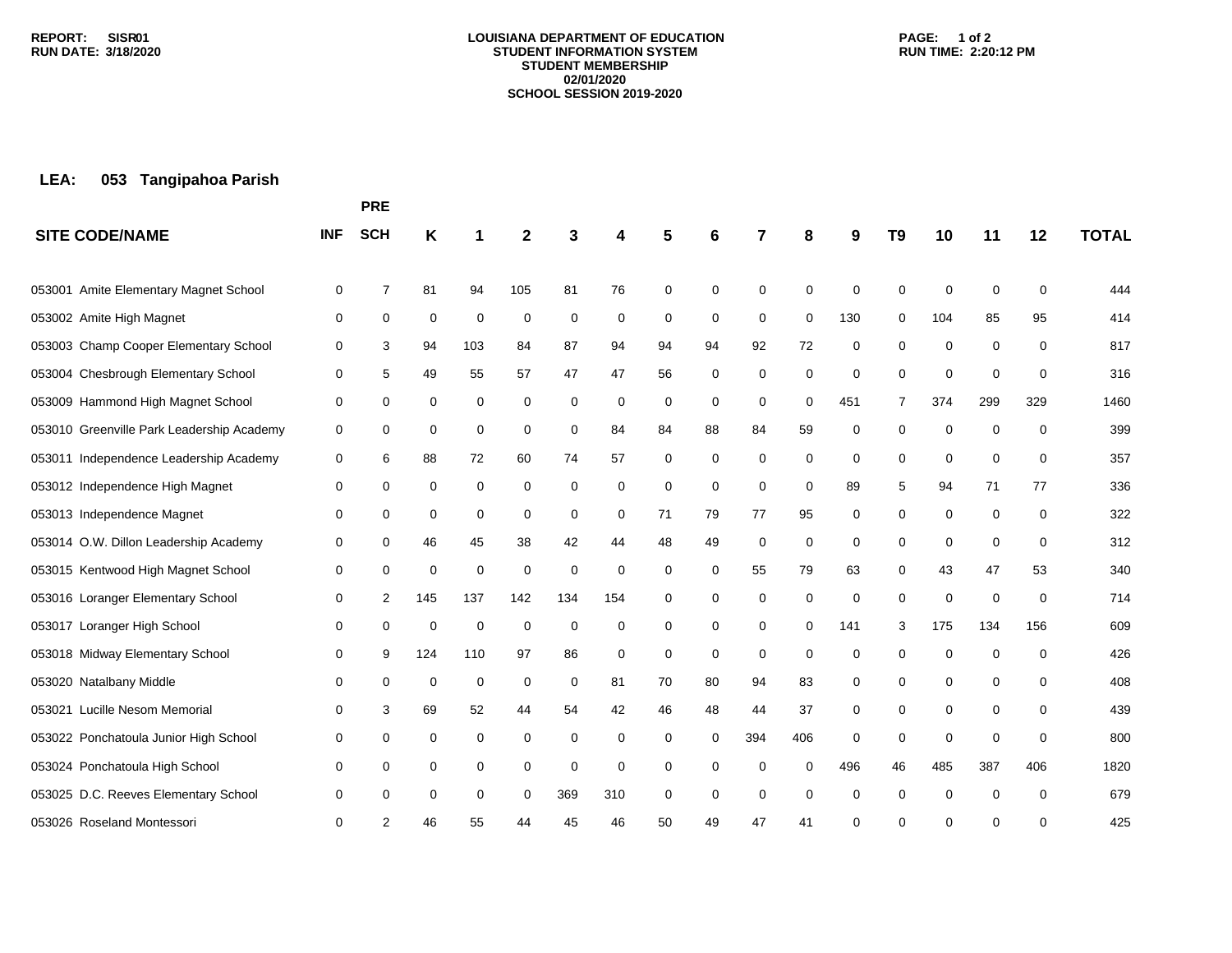#### **LOUISIANA DEPARTMENT OF EDUCATION STUDENT INFORMATION SYSTEM STUDENT MEMBERSHIP 02/01/2020 SCHOOL SESSION 2019-2020**

### **PAGE: 1 of 2 RUN TIME: 2:20:12 PM**

# **LEA: 053 Tangipahoa Parish**

|                                           |            | <b>PRE</b> |     |             |             |          |             |          |             |             |             |     |                |             |     |             |              |
|-------------------------------------------|------------|------------|-----|-------------|-------------|----------|-------------|----------|-------------|-------------|-------------|-----|----------------|-------------|-----|-------------|--------------|
| <b>SITE CODE/NAME</b>                     | <b>INF</b> | <b>SCH</b> | Κ   |             | 2           |          |             |          | 6           | 7           | 8           | 9   | T <sub>9</sub> | 10          | 11  | 12          | <b>TOTAL</b> |
| 053001 Amite Elementary Magnet School     | 0          | 7          | 81  | 94          | 105         | 81       | 76          | 0        | $\mathbf 0$ | 0           | 0           | 0   | $\Omega$       | 0           | 0   | 0           | 444          |
| 053002 Amite High Magnet                  | 0          | 0          | 0   | 0           | 0           | 0        | 0           | 0        | 0           | 0           | $\mathbf 0$ | 130 | 0              | 104         | 85  | 95          | 414          |
| 053003 Champ Cooper Elementary School     | 0          | 3          | 94  | 103         | 84          | 87       | 94          | 94       | 94          | 92          | 72          | 0   | $\mathbf 0$    | 0           | 0   | $\mathbf 0$ | 817          |
| 053004 Chesbrough Elementary School       | 0          | 5          | 49  | 55          | 57          | 47       | 47          | 56       | $\mathbf 0$ | 0           | 0           | 0   | 0              | 0           | 0   | 0           | 316          |
| 053009 Hammond High Magnet School         | 0          | 0          | 0   | 0           | 0           | 0        | 0           | 0        | 0           | $\mathbf 0$ | 0           | 451 | 7              | 374         | 299 | 329         | 1460         |
| 053010 Greenville Park Leadership Academy | 0          | 0          | 0   | 0           | 0           | 0        | 84          | 84       | 88          | 84          | 59          | 0   | 0              | 0           | 0   | $\mathbf 0$ | 399          |
| 053011 Independence Leadership Academy    | 0          | 6          | 88  | 72          | 60          | 74       | 57          | 0        | $\mathbf 0$ | 0           | 0           | 0   | $\mathbf 0$    | 0           | 0   | $\mathbf 0$ | 357          |
| 053012 Independence High Magnet           | 0          | 0          | 0   | $\mathbf 0$ | $\Omega$    | 0        | 0           | $\Omega$ | $\mathbf 0$ | $\Omega$    | $\Omega$    | 89  | 5              | 94          | 71  | 77          | 336          |
| 053013 Independence Magnet                | 0          | 0          | 0   | 0           | 0           | 0        | 0           | 71       | 79          | 77          | 95          | 0   | 0              | 0           | 0   | 0           | 322          |
| 053014 O.W. Dillon Leadership Academy     | 0          | 0          | 46  | 45          | 38          | 42       | 44          | 48       | 49          | 0           | 0           | 0   | $\Omega$       | 0           | 0   | $\mathbf 0$ | 312          |
| 053015 Kentwood High Magnet School        | 0          | 0          | 0   | 0           | $\mathbf 0$ | $\Omega$ | $\mathbf 0$ | $\Omega$ | 0           | 55          | 79          | 63  | 0              | 43          | 47  | 53          | 340          |
| 053016 Loranger Elementary School         | 0          | 2          | 145 | 137         | 142         | 134      | 154         | 0        | 0           | 0           | 0           | 0   | 0              | 0           | 0   | 0           | 714          |
| 053017 Loranger High School               | 0          | 0          | 0   | 0           | $\mathbf 0$ | 0        | 0           | 0        | 0           | 0           | 0           | 141 | 3              | 175         | 134 | 156         | 609          |
| 053018 Midway Elementary School           | 0          | 9          | 124 | 110         | 97          | 86       | 0           | 0        | 0           | $\mathbf 0$ | 0           | 0   | $\Omega$       | $\mathbf 0$ | 0   | 0           | 426          |
| 053020 Natalbany Middle                   | 0          | 0          | 0   | 0           | 0           | 0        | 81          | 70       | 80          | 94          | 83          | 0   | 0              | 0           | 0   | 0           | 408          |
| 053021 Lucille Nesom Memorial             | 0          | 3          | 69  | 52          | 44          | 54       | 42          | 46       | 48          | 44          | 37          | 0   | 0              | 0           | 0   | 0           | 439          |
| 053022 Ponchatoula Junior High School     | 0          | 0          | 0   | 0           | 0           | 0        | 0           | $\Omega$ | 0           | 394         | 406         | 0   | 0              | 0           | 0   | 0           | 800          |
| 053024 Ponchatoula High School            | 0          | 0          | 0   | 0           | 0           | 0        | 0           | 0        | 0           | $\Omega$    | $\Omega$    | 496 | 46             | 485         | 387 | 406         | 1820         |
| 053025 D.C. Reeves Elementary School      | 0          | 0          | 0   | 0           | 0           | 369      | 310         | 0        | $\mathbf 0$ | 0           | $\Omega$    | 0   | $\Omega$       | 0           | 0   | $\Omega$    | 679          |
| 053026 Roseland Montessori                | 0          | 2          | 46  | 55          | 44          | 45       | 46          | 50       | 49          | 47          | 41          | 0   | U              | ∩           | 0   | $\Omega$    | 425          |